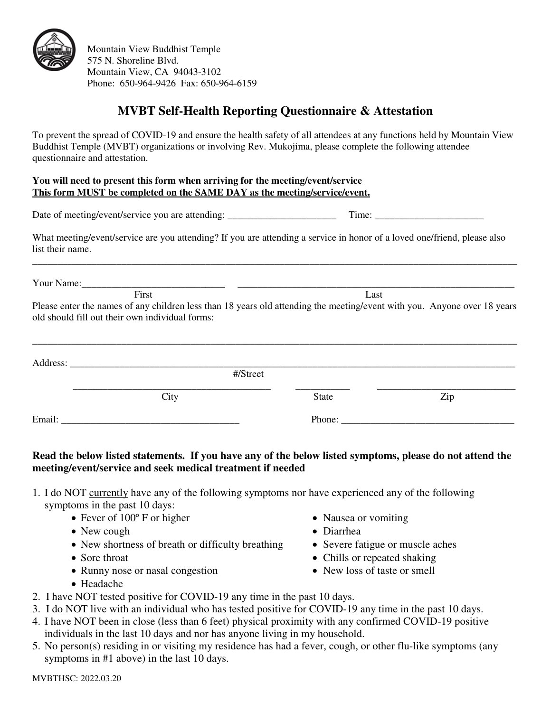

Mountain View Buddhist Temple 575 N. Shoreline Blvd. Mountain View, CA 94043-3102 Phone: 650-964-9426 Fax: 650-964-6159

# **MVBT Self-Health Reporting Questionnaire & Attestation**

To prevent the spread of COVID-19 and ensure the health safety of all attendees at any functions held by Mountain View Buddhist Temple (MVBT) organizations or involving Rev. Mukojima, please complete the following attendee questionnaire and attestation.

#### **You will need to present this form when arriving for the meeting/event/service This form MUST be completed on the SAME DAY as the meeting/service/event.**

Date of meeting/event/service you are attending: Time: Time:

What meeting/event/service are you attending? If you are attending a service in honor of a loved one/friend, please also list their name.

\_\_\_\_\_\_\_\_\_\_\_\_\_\_\_\_\_\_\_\_\_\_\_\_\_\_\_\_\_\_\_\_\_\_\_\_\_\_\_\_\_\_\_\_\_\_\_\_\_\_\_\_\_\_\_\_\_\_\_\_\_\_\_\_\_\_\_\_\_\_\_\_\_\_\_\_\_\_\_\_\_\_\_\_\_\_\_\_\_\_\_\_\_\_\_\_\_\_

Your Name:

First Last Please enter the names of any children less than 18 years old attending the meeting/event with you. Anyone over 18 years old should fill out their own individual forms:

|        |      | #/Street |       |     |
|--------|------|----------|-------|-----|
|        | City |          | State | Zip |
| Email: |      |          |       |     |

### **Read the below listed statements. If you have any of the below listed symptoms, please do not attend the meeting/event/service and seek medical treatment if needed**

- 1. I do NOT currently have any of the following symptoms nor have experienced any of the following symptoms in the past 10 days:
	- Fever of 100º F or higher Nausea or vomiting
	- New cough **Diarrhea**
	- New shortness of breath or difficulty breathing Severe fatigue or muscle aches
	- Sore throat **Chills or repeated shaking**
	- Runny nose or nasal congestion New loss of taste or smell
	- Headache
- 2. I have NOT tested positive for COVID-19 any time in the past 10 days.
- 3. I do NOT live with an individual who has tested positive for COVID-19 any time in the past 10 days.
- 4. I have NOT been in close (less than 6 feet) physical proximity with any confirmed COVID-19 positive individuals in the last 10 days and nor has anyone living in my household.
- 5. No person(s) residing in or visiting my residence has had a fever, cough, or other flu-like symptoms (any symptoms in #1 above) in the last 10 days.